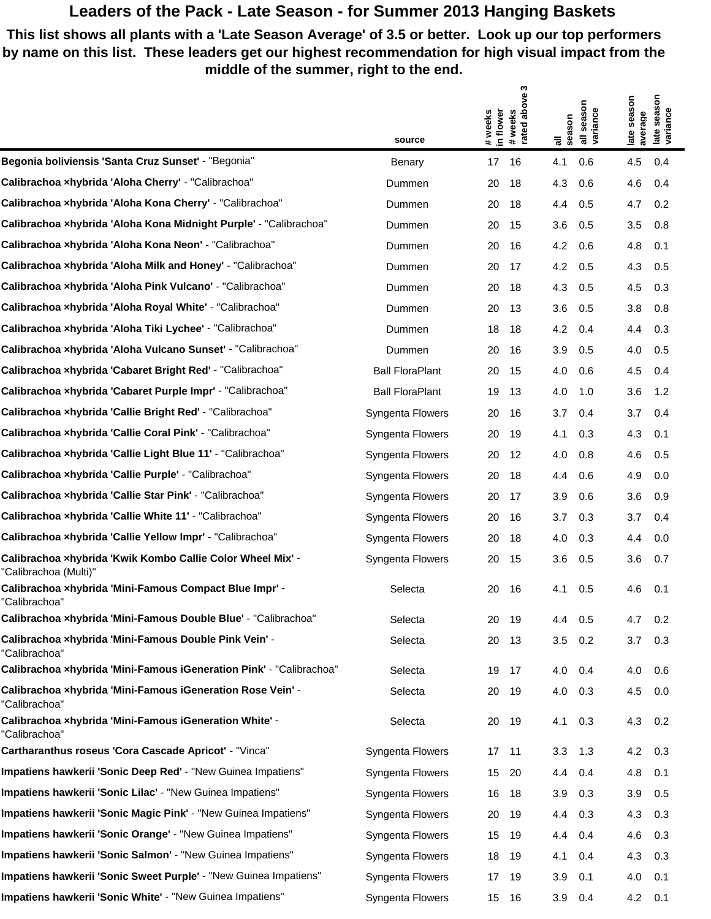## **Leaders of the Pack - Late Season - for Summer 2013 Hanging Baskets**

 $\mathfrak{g}$ 

**This list shows all plants with a 'Late Season Average' of 3.5 or better. Look up our top performers by name on this list. These leaders get our highest recommendation for high visual impact from the middle of the summer, right to the end.**

|                                                                                     |                        | ო                                                           |                                                                   |                                                              |
|-------------------------------------------------------------------------------------|------------------------|-------------------------------------------------------------|-------------------------------------------------------------------|--------------------------------------------------------------|
|                                                                                     | source                 | above<br>weeks<br>in flower<br>#weeks<br>rated<br>$\ddot{}$ | season<br>variance<br>season<br>$\overline{a}$<br>$\bar{\bar{a}}$ | season<br>season<br>late seas<br>variance<br>average<br>late |
| Begonia boliviensis 'Santa Cruz Sunset' - "Begonia"                                 | Benary                 | 17<br>16                                                    | 4.1<br>0.6                                                        | 4.5<br>0.4                                                   |
| Calibrachoa xhybrida 'Aloha Cherry' - "Calibrachoa"                                 | Dummen                 | 20<br>18                                                    | 4.3<br>0.6                                                        | 4.6<br>$0.4^{\circ}$                                         |
| Calibrachoa xhybrida 'Aloha Kona Cherry' - "Calibrachoa"                            | Dummen                 | 20<br>18                                                    | 0.5<br>4.4                                                        | 4.7<br>0.2                                                   |
| Calibrachoa xhybrida 'Aloha Kona Midnight Purple' - "Calibrachoa"                   | Dummen                 | 20<br>15                                                    | 3.6<br>0.5                                                        | 3.5<br>0.8                                                   |
| Calibrachoa xhybrida 'Aloha Kona Neon' - "Calibrachoa"                              | Dummen                 | 20<br>16                                                    | 4.2<br>0.6                                                        | 4.8<br>0.1                                                   |
| Calibrachoa xhybrida 'Aloha Milk and Honey' - "Calibrachoa"                         | Dummen                 | 20<br>17                                                    | 4.2<br>0.5                                                        | 4.3<br>0.5                                                   |
| Calibrachoa xhybrida 'Aloha Pink Vulcano' - "Calibrachoa"                           | Dummen                 | 20<br>18                                                    | 4.3<br>0.5                                                        | 4.5<br>0.3                                                   |
| Calibrachoa ×hybrida 'Aloha Royal White' - "Calibrachoa"                            | Dummen                 | 20<br>13                                                    | 3.6<br>0.5                                                        | 3.8<br>0.8                                                   |
| <b>Calibrachoa ×hybrida 'Aloha Tiki Lychee' -</b> "Calibrachoa"                     | Dummen                 | 18<br>18                                                    | 4.2<br>0.4                                                        | 0.3<br>4.4                                                   |
| Calibrachoa xhybrida 'Aloha Vulcano Sunset' - "Calibrachoa"                         | Dummen                 | 20<br>16                                                    | 3.9<br>0.5                                                        | 4.0<br>0.5                                                   |
| Calibrachoa ×hybrida 'Cabaret Bright Red' - "Calibrachoa"                           | <b>Ball FloraPlant</b> | 15<br>20                                                    | 4.0<br>0.6                                                        | 4.5<br>$0.4^{\circ}$                                         |
| Calibrachoa ×hybrida 'Cabaret Purple Impr' - "Calibrachoa"                          | <b>Ball FloraPlant</b> | 19<br>13                                                    | 4.0<br>1.0                                                        | 3.6<br>$1.2^{\circ}$                                         |
| Calibrachoa ×hybrida 'Callie Bright Red' - "Calibrachoa"                            | Syngenta Flowers       | 20<br>16                                                    | 0.4<br>3.7                                                        | 3.7<br>0.4                                                   |
| Calibrachoa xhybrida 'Callie Coral Pink' - "Calibrachoa"                            | Syngenta Flowers       | 20<br>19                                                    | 4.1<br>0.3                                                        | 4.3<br>0.1                                                   |
| Calibrachoa ×hybrida 'Callie Light Blue 11' - "Calibrachoa"                         | Syngenta Flowers       | 12<br>20                                                    | 4.0<br>0.8                                                        | 4.6<br>0.5                                                   |
| Calibrachoa xhybrida 'Callie Purple' - "Calibrachoa"                                | Syngenta Flowers       | 20<br>18                                                    | 4.4<br>0.6                                                        | 4.9<br>0.0                                                   |
| Calibrachoa xhybrida 'Callie Star Pink' - "Calibrachoa"                             | Syngenta Flowers       | 20<br>17                                                    | 3.9<br>0.6                                                        | 3.6<br>0.9                                                   |
| Calibrachoa xhybrida 'Callie White 11' - "Calibrachoa"                              | Syngenta Flowers       | 20<br>16                                                    | 3.7<br>0.3                                                        | 3.7<br>$0.4^{\circ}$                                         |
| Calibrachoa xhybrida 'Callie Yellow Impr' - "Calibrachoa"                           | Syngenta Flowers       | 20<br>18                                                    | 0.3<br>4.0                                                        | 4.4<br>0.0                                                   |
| Calibrachoa ×hybrida 'Kwik Kombo Callie Color Wheel Mix' -<br>"Calibrachoa (Multi)" | Syngenta Flowers       | 20<br>15                                                    | 3.6<br>0.5                                                        | 3.6<br>0.7                                                   |
| Calibrachoa ×hybrida 'Mini-Famous Compact Blue Impr' -<br>"Calibrachoa"             | Selecta                | 16<br>20                                                    | 4.1<br>0.5                                                        | 4.6<br>0.1                                                   |
| Calibrachoa xhybrida 'Mini-Famous Double Blue' - "Calibrachoa"                      | Selecta                | 20<br>- 19                                                  | 4.4<br>0.5                                                        | 4.7<br>0.2                                                   |
| Calibrachoa xhybrida 'Mini-Famous Double Pink Vein' -<br>"Calibrachoa"              | Selecta                | 20<br>13                                                    | 3.5<br>0.2                                                        | 3.7<br>0.3                                                   |
| Calibrachoa xhybrida 'Mini-Famous iGeneration Pink' - "Calibrachoa"                 | Selecta                | 17<br>19                                                    | 4.0<br>0.4                                                        | 4.0<br>0.6                                                   |
| Calibrachoa xhybrida 'Mini-Famous iGeneration Rose Vein' -<br>"Calibrachoa"         | Selecta                | 20<br>-19                                                   | 4.0<br>0.3                                                        | 4.5<br>0.0                                                   |
| Calibrachoa xhybrida 'Mini-Famous iGeneration White' -<br>"Calibrachoa"             | Selecta                | 20 19                                                       | 4.1<br>0.3                                                        | 4.3<br>0.2                                                   |
| Cartharanthus roseus 'Cora Cascade Apricot' - "Vinca"                               | Syngenta Flowers       | 17 11                                                       | 3.3<br>1.3                                                        | 4.2<br>0.3                                                   |
| Impatiens hawkerii 'Sonic Deep Red' - "New Guinea Impatiens"                        | Syngenta Flowers       | 15<br>-20                                                   | 4.4<br>0.4                                                        | 4.8<br>0.1                                                   |
| Impatiens hawkerii 'Sonic Lilac' - "New Guinea Impatiens"                           | Syngenta Flowers       | 16<br>18                                                    | 3.9<br>0.3                                                        | 3.9<br>0.5                                                   |
| Impatiens hawkerii 'Sonic Magic Pink' - "New Guinea Impatiens"                      | Syngenta Flowers       | 20<br>19                                                    | 0.3<br>4.4                                                        | 4.3<br>0.3                                                   |
| Impatiens hawkerii 'Sonic Orange' - "New Guinea Impatiens"                          | Syngenta Flowers       | 15<br>19                                                    | 4.4<br>0.4                                                        | 4.6<br>0.3                                                   |
| Impatiens hawkerii 'Sonic Salmon' - "New Guinea Impatiens"                          | Syngenta Flowers       | 18<br>19                                                    | 4.1<br>0.4                                                        | 4.3<br>0.3                                                   |
| Impatiens hawkerii 'Sonic Sweet Purple' - "New Guinea Impatiens"                    | Syngenta Flowers       | 17<br>19                                                    | 3.9<br>0.1                                                        | 4.0<br>0.1                                                   |
| Impatiens hawkerii 'Sonic White' - "New Guinea Impatiens"                           | Syngenta Flowers       | 15 16                                                       | 3.9<br>0.4                                                        | 4.2<br>0.1                                                   |